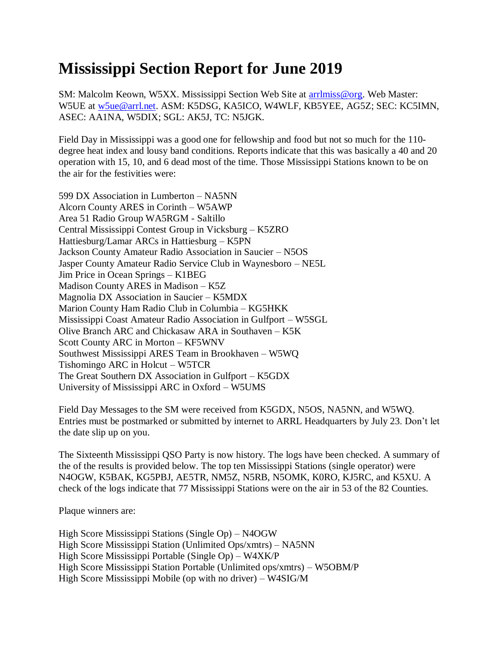## **Mississippi Section Report for June 2019**

SM: Malcolm Keown, W5XX. Mississippi Section Web Site at [arrlmiss@org.](mailto:arrlmiss@org) Web Master: W5UE at [w5ue@arrl.net.](mailto:w5ue@arrl.net) ASM: K5DSG, KA5ICO, W4WLF, KB5YEE, AG5Z; SEC: KC5IMN, ASEC: AA1NA, W5DIX; SGL: AK5J, TC: N5JGK.

Field Day in Mississippi was a good one for fellowship and food but not so much for the 110 degree heat index and lousy band conditions. Reports indicate that this was basically a 40 and 20 operation with 15, 10, and 6 dead most of the time. Those Mississippi Stations known to be on the air for the festivities were:

599 DX Association in Lumberton – NA5NN Alcorn County ARES in Corinth – W5AWP Area 51 Radio Group WA5RGM - Saltillo Central Mississippi Contest Group in Vicksburg – K5ZRO Hattiesburg/Lamar ARCs in Hattiesburg – K5PN Jackson County Amateur Radio Association in Saucier – N5OS Jasper County Amateur Radio Service Club in Waynesboro – NE5L Jim Price in Ocean Springs – K1BEG Madison County ARES in Madison – K5Z Magnolia DX Association in Saucier – K5MDX Marion County Ham Radio Club in Columbia – KG5HKK Mississippi Coast Amateur Radio Association in Gulfport – W5SGL Olive Branch ARC and Chickasaw ARA in Southaven – K5K Scott County ARC in Morton – KF5WNV Southwest Mississippi ARES Team in Brookhaven – W5WQ Tishomingo ARC in Holcut – W5TCR The Great Southern DX Association in Gulfport – K5GDX University of Mississippi ARC in Oxford – W5UMS

Field Day Messages to the SM were received from K5GDX, N5OS, NA5NN, and W5WQ. Entries must be postmarked or submitted by internet to ARRL Headquarters by July 23. Don't let the date slip up on you.

The Sixteenth Mississippi QSO Party is now history. The logs have been checked. A summary of the of the results is provided below. The top ten Mississippi Stations (single operator) were N4OGW, K5BAK, KG5PBJ, AE5TR, NM5Z, N5RB, N5OMK, K0RO, KJ5RC, and K5XU. A check of the logs indicate that 77 Mississippi Stations were on the air in 53 of the 82 Counties.

Plaque winners are:

High Score Mississippi Stations (Single Op) – N4OGW High Score Mississippi Station (Unlimited Ops/xmtrs) – NA5NN High Score Mississippi Portable (Single Op) – W4XK/P High Score Mississippi Station Portable (Unlimited ops/xmtrs) – W5OBM/P High Score Mississippi Mobile (op with no driver) – W4SIG/M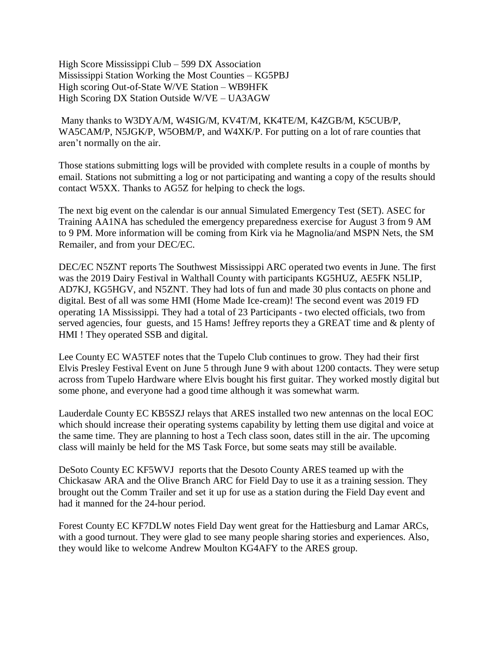High Score Mississippi Club – 599 DX Association Mississippi Station Working the Most Counties – KG5PBJ High scoring Out-of-State W/VE Station – WB9HFK High Scoring DX Station Outside W/VE – UA3AGW

Many thanks to W3DYA/M, W4SIG/M, KV4T/M, KK4TE/M, K4ZGB/M, K5CUB/P, WA5CAM/P, N5JGK/P, W5OBM/P, and W4XK/P. For putting on a lot of rare counties that aren't normally on the air.

Those stations submitting logs will be provided with complete results in a couple of months by email. Stations not submitting a log or not participating and wanting a copy of the results should contact W5XX. Thanks to AG5Z for helping to check the logs.

The next big event on the calendar is our annual Simulated Emergency Test (SET). ASEC for Training AA1NA has scheduled the emergency preparedness exercise for August 3 from 9 AM to 9 PM. More information will be coming from Kirk via he Magnolia/and MSPN Nets, the SM Remailer, and from your DEC/EC.

DEC/EC N5ZNT reports The Southwest Mississippi ARC operated two events in June. The first was the 2019 Dairy Festival in Walthall County with participants KG5HUZ, AE5FK N5LIP, AD7KJ, KG5HGV, and N5ZNT. They had lots of fun and made 30 plus contacts on phone and digital. Best of all was some HMI (Home Made Ice-cream)! The second event was 2019 FD operating 1A Mississippi. They had a total of 23 Participants - two elected officials, two from served agencies, four guests, and 15 Hams! Jeffrey reports they a GREAT time and & plenty of HMI ! They operated SSB and digital.

Lee County EC WA5TEF notes that the Tupelo Club continues to grow. They had their first Elvis Presley Festival Event on June 5 through June 9 with about 1200 contacts. They were setup across from Tupelo Hardware where Elvis bought his first guitar. They worked mostly digital but some phone, and everyone had a good time although it was somewhat warm.

Lauderdale County EC KB5SZJ relays that ARES installed two new antennas on the local EOC which should increase their operating systems capability by letting them use digital and voice at the same time. They are planning to host a Tech class soon, dates still in the air. The upcoming class will mainly be held for the MS Task Force, but some seats may still be available.

DeSoto County EC KF5WVJ reports that the Desoto County ARES teamed up with the Chickasaw ARA and the Olive Branch ARC for Field Day to use it as a training session. They brought out the Comm Trailer and set it up for use as a station during the Field Day event and had it manned for the 24-hour period.

Forest County EC KF7DLW notes Field Day went great for the Hattiesburg and Lamar ARCs, with a good turnout. They were glad to see many people sharing stories and experiences. Also, they would like to welcome Andrew Moulton KG4AFY to the ARES group.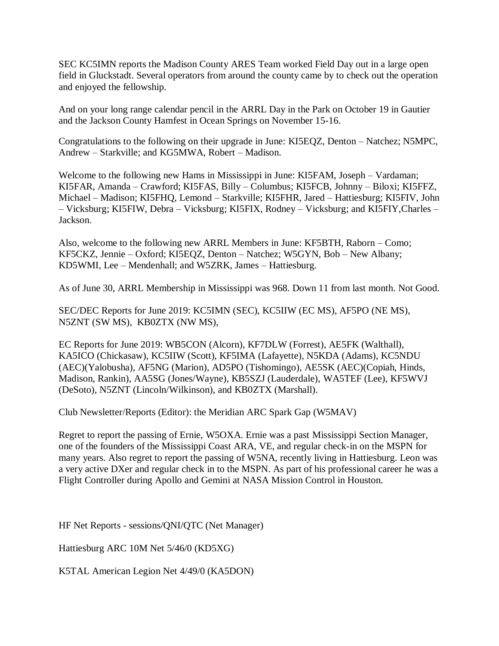SEC KC5IMN reports the Madison County ARES Team worked Field Day out in a large open field in Gluckstadt. Several operators from around the county came by to check out the operation and enjoyed the fellowship.

And on your long range calendar pencil in the ARRL Day in the Park on October 19 in Gautier and the Jackson County Hamfest in Ocean Springs on November 15-16.

Congratulations to the following on their upgrade in June: KI5EQZ, Denton – Natchez; N5MPC, Andrew – Starkville; and KG5MWA, Robert – Madison.

Welcome to the following new Hams in Mississippi in June: KI5FAM, Joseph – Vardaman; KI5FAR, Amanda – Crawford; KI5FAS, Billy – Columbus; KI5FCB, Johnny – Biloxi; KI5FFZ, Michael – Madison; KI5FHQ, Lemond – Starkville; KI5FHR, Jared – Hattiesburg; KI5FIV, John – Vicksburg; KI5FIW, Debra – Vicksburg; KI5FIX, Rodney – Vicksburg; and KI5FIY,Charles – Jackson.

Also, welcome to the following new ARRL Members in June: KF5BTH, Raborn – Como; KF5CKZ, Jennie – Oxford; KI5EQZ, Denton – Natchez; W5GYN, Bob – New Albany; KD5WMI, Lee – Mendenhall; and W5ZRK, James – Hattiesburg.

As of June 30, ARRL Membership in Mississippi was 968. Down 11 from last month. Not Good.

SEC/DEC Reports for June 2019: KC5IMN (SEC), KC5IIW (EC MS), AF5PO (NE MS), N5ZNT (SW MS), KB0ZTX (NW MS),

EC Reports for June 2019: WB5CON (Alcorn), KF7DLW (Forrest), AE5FK (Walthall), KA5ICO (Chickasaw), KC5IIW (Scott), KF5IMA (Lafayette), N5KDA (Adams), KC5NDU (AEC)(Yalobusha), AF5NG (Marion), AD5PO (Tishomingo), AE5SK (AEC)(Copiah, Hinds, Madison, Rankin), AA5SG (Jones/Wayne), KB5SZJ (Lauderdale), WA5TEF (Lee), KF5WVJ (DeSoto), N5ZNT (Lincoln/Wilkinson), and KB0ZTX (Marshall).

Club Newsletter/Reports (Editor): the Meridian ARC Spark Gap (W5MAV)

Regret to report the passing of Ernie, W5OXA. Ernie was a past Mississippi Section Manager, one of the founders of the Mississippi Coast ARA, VE, and regular check-in on the MSPN for many years. Also regret to report the passing of W5NA, recently living in Hattiesburg. Leon was a very active DXer and regular check in to the MSPN. As part of his professional career he was a Flight Controller during Apollo and Gemini at NASA Mission Control in Houston.

HF Net Reports - sessions/QNI/QTC (Net Manager)

Hattiesburg ARC 10M Net 5/46/0 (KD5XG)

K5TAL American Legion Net 4/49/0 (KA5DON)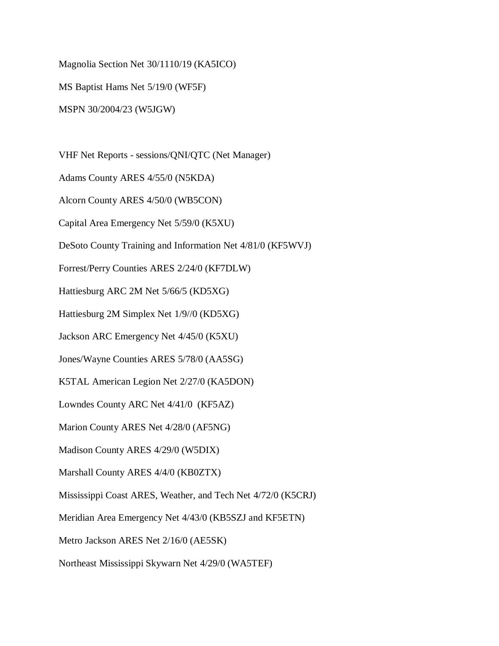Magnolia Section Net 30/1110/19 (KA5ICO)

MS Baptist Hams Net 5/19/0 (WF5F)

MSPN 30/2004/23 (W5JGW)

VHF Net Reports - sessions/QNI/QTC (Net Manager)

Adams County ARES 4/55/0 (N5KDA)

Alcorn County ARES 4/50/0 (WB5CON)

Capital Area Emergency Net 5/59/0 (K5XU)

DeSoto County Training and Information Net 4/81/0 (KF5WVJ)

Forrest/Perry Counties ARES 2/24/0 (KF7DLW)

Hattiesburg ARC 2M Net 5/66/5 (KD5XG)

Hattiesburg 2M Simplex Net 1/9//0 (KD5XG)

Jackson ARC Emergency Net 4/45/0 (K5XU)

Jones/Wayne Counties ARES 5/78/0 (AA5SG)

K5TAL American Legion Net 2/27/0 (KA5DON)

Lowndes County ARC Net 4/41/0 (KF5AZ)

Marion County ARES Net 4/28/0 (AF5NG)

Madison County ARES 4/29/0 (W5DIX)

Marshall County ARES 4/4/0 (KB0ZTX)

Mississippi Coast ARES, Weather, and Tech Net 4/72/0 (K5CRJ)

Meridian Area Emergency Net 4/43/0 (KB5SZJ and KF5ETN)

Metro Jackson ARES Net 2/16/0 (AE5SK)

Northeast Mississippi Skywarn Net 4/29/0 (WA5TEF)